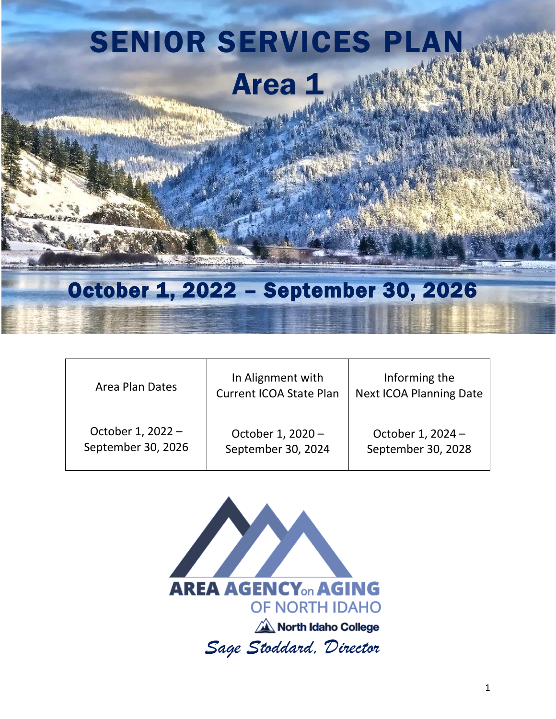# SENIOR SERVICES PLAN Area 1

# October 1, 2022 – September 30, 2026

| Area Plan Dates    | In Alignment with<br><b>Current ICOA State Plan</b> | Informing the<br><b>Next ICOA Planning Date</b> |
|--------------------|-----------------------------------------------------|-------------------------------------------------|
| October 1, 2022 -  | October 1, 2020 -                                   | October 1, 2024 -                               |
| September 30, 2026 | September 30, 2024                                  | September 30, 2028                              |

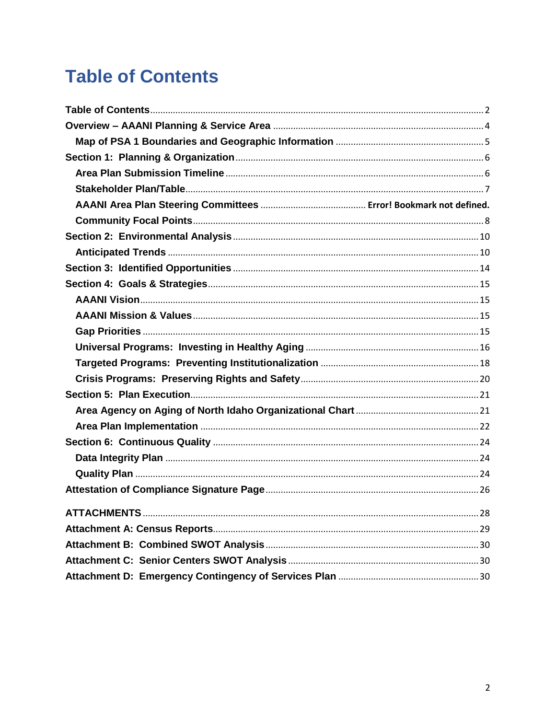# <span id="page-1-0"></span>**Table of Contents**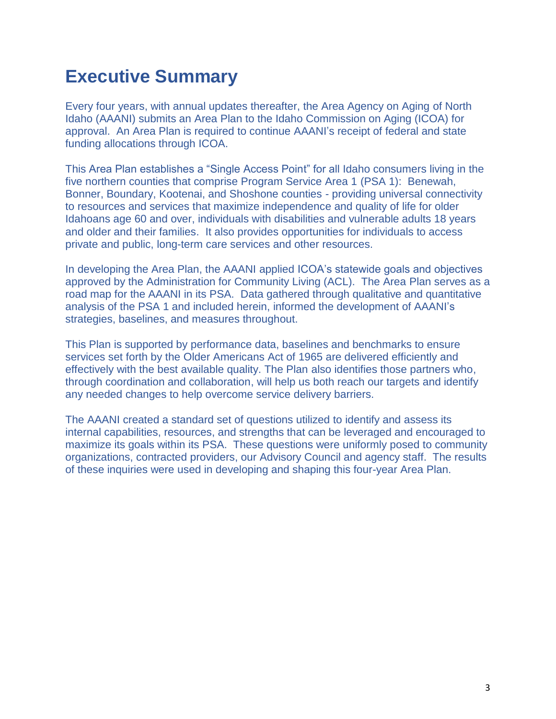# **Executive Summary**

Every four years, with annual updates thereafter, the Area Agency on Aging of North Idaho (AAANI) submits an Area Plan to the Idaho Commission on Aging (ICOA) for approval. An Area Plan is required to continue AAANI's receipt of federal and state funding allocations through ICOA.

This Area Plan establishes a "Single Access Point" for all Idaho consumers living in the five northern counties that comprise Program Service Area 1 (PSA 1): Benewah, Bonner, Boundary, Kootenai, and Shoshone counties - providing universal connectivity to resources and services that maximize independence and quality of life for older Idahoans age 60 and over, individuals with disabilities and vulnerable adults 18 years and older and their families. It also provides opportunities for individuals to access private and public, long-term care services and other resources.

In developing the Area Plan, the AAANI applied ICOA's statewide goals and objectives approved by the Administration for Community Living (ACL). The Area Plan serves as a road map for the AAANI in its PSA. Data gathered through qualitative and quantitative analysis of the PSA 1 and included herein, informed the development of AAANI's strategies, baselines, and measures throughout.

This Plan is supported by performance data, baselines and benchmarks to ensure services set forth by the Older Americans Act of 1965 are delivered efficiently and effectively with the best available quality. The Plan also identifies those partners who, through coordination and collaboration, will help us both reach our targets and identify any needed changes to help overcome service delivery barriers.

The AAANI created a standard set of questions utilized to identify and assess its internal capabilities, resources, and strengths that can be leveraged and encouraged to maximize its goals within its PSA. These questions were uniformly posed to community organizations, contracted providers, our Advisory Council and agency staff. The results of these inquiries were used in developing and shaping this four-year Area Plan.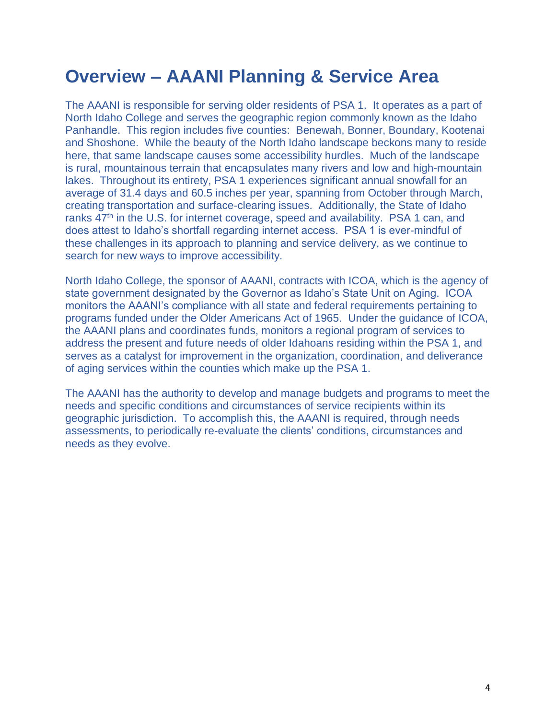# <span id="page-3-0"></span>**Overview – AAANI Planning & Service Area**

The AAANI is responsible for serving older residents of PSA 1. It operates as a part of North Idaho College and serves the geographic region commonly known as the Idaho Panhandle. This region includes five counties: Benewah, Bonner, Boundary, Kootenai and Shoshone. While the beauty of the North Idaho landscape beckons many to reside here, that same landscape causes some accessibility hurdles. Much of the landscape is rural, mountainous terrain that encapsulates many rivers and low and high-mountain lakes. Throughout its entirety, PSA 1 experiences significant annual snowfall for an average of 31.4 days and 60.5 inches per year, spanning from October through March, creating transportation and surface-clearing issues. Additionally, the State of Idaho ranks 47<sup>th</sup> in the U.S. for internet coverage, speed and availability. PSA 1 can, and does attest to Idaho's shortfall regarding internet access. PSA 1 is ever-mindful of these challenges in its approach to planning and service delivery, as we continue to search for new ways to improve accessibility.

North Idaho College, the sponsor of AAANI, contracts with ICOA, which is the agency of state government designated by the Governor as Idaho's State Unit on Aging. ICOA monitors the AAANI's compliance with all state and federal requirements pertaining to programs funded under the Older Americans Act of 1965. Under the guidance of ICOA, the AAANI plans and coordinates funds, monitors a regional program of services to address the present and future needs of older Idahoans residing within the PSA 1, and serves as a catalyst for improvement in the organization, coordination, and deliverance of aging services within the counties which make up the PSA 1.

The AAANI has the authority to develop and manage budgets and programs to meet the needs and specific conditions and circumstances of service recipients within its geographic jurisdiction. To accomplish this, the AAANI is required, through needs assessments, to periodically re-evaluate the clients' conditions, circumstances and needs as they evolve.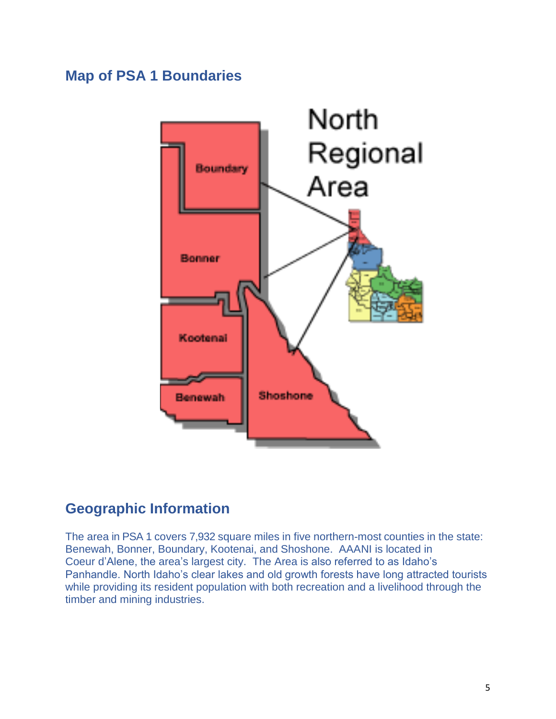# <span id="page-4-0"></span>**Map of PSA 1 Boundaries**



# **Geographic Information**

The area in PSA 1 covers 7,932 square miles in five northern-most counties in the state: Benewah, Bonner, Boundary, Kootenai, and Shoshone. AAANI is located in Coeur d'Alene, the area's largest city. The Area is also referred to as Idaho's Panhandle. North Idaho's clear lakes and old growth forests have long attracted tourists while providing its resident population with both recreation and a livelihood through the timber and mining industries.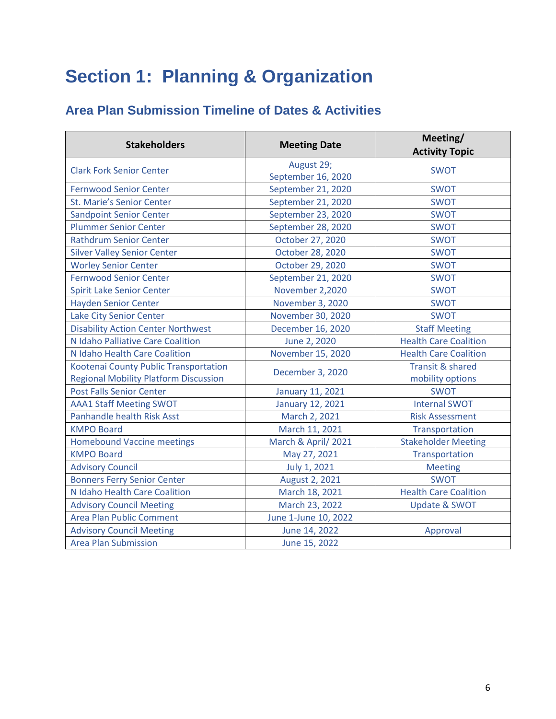# <span id="page-5-0"></span>**Section 1: Planning & Organization**

# <span id="page-5-1"></span>**Area Plan Submission Timeline of Dates & Activities**

| <b>Stakeholders</b>                          | <b>Meeting Date</b>  | Meeting/<br><b>Activity Topic</b> |
|----------------------------------------------|----------------------|-----------------------------------|
| <b>Clark Fork Senior Center</b>              | August 29;           | <b>SWOT</b>                       |
|                                              | September 16, 2020   |                                   |
| <b>Fernwood Senior Center</b>                | September 21, 2020   | <b>SWOT</b>                       |
| <b>St. Marie's Senior Center</b>             | September 21, 2020   | <b>SWOT</b>                       |
| <b>Sandpoint Senior Center</b>               | September 23, 2020   | <b>SWOT</b>                       |
| <b>Plummer Senior Center</b>                 | September 28, 2020   | <b>SWOT</b>                       |
| <b>Rathdrum Senior Center</b>                | October 27, 2020     | <b>SWOT</b>                       |
| <b>Silver Valley Senior Center</b>           | October 28, 2020     | <b>SWOT</b>                       |
| <b>Worley Senior Center</b>                  | October 29, 2020     | <b>SWOT</b>                       |
| <b>Fernwood Senior Center</b>                | September 21, 2020   | <b>SWOT</b>                       |
| <b>Spirit Lake Senior Center</b>             | November 2,2020      | <b>SWOT</b>                       |
| <b>Hayden Senior Center</b>                  | November 3, 2020     | <b>SWOT</b>                       |
| <b>Lake City Senior Center</b>               | November 30, 2020    | <b>SWOT</b>                       |
| <b>Disability Action Center Northwest</b>    | December 16, 2020    | <b>Staff Meeting</b>              |
| N Idaho Palliative Care Coalition            | June 2, 2020         | <b>Health Care Coalition</b>      |
| N Idaho Health Care Coalition                | November 15, 2020    | <b>Health Care Coalition</b>      |
| Kootenai County Public Transportation        | December 3, 2020     | <b>Transit &amp; shared</b>       |
| <b>Regional Mobility Platform Discussion</b> |                      | mobility options                  |
| <b>Post Falls Senior Center</b>              | January 11, 2021     | <b>SWOT</b>                       |
| <b>AAA1 Staff Meeting SWOT</b>               | January 12, 2021     | <b>Internal SWOT</b>              |
| <b>Panhandle health Risk Asst</b>            | March 2, 2021        | <b>Risk Assessment</b>            |
| <b>KMPO Board</b>                            | March 11, 2021       | Transportation                    |
| <b>Homebound Vaccine meetings</b>            | March & April/2021   | <b>Stakeholder Meeting</b>        |
| <b>KMPO Board</b>                            | May 27, 2021         | Transportation                    |
| <b>Advisory Council</b>                      | July 1, 2021         | <b>Meeting</b>                    |
| <b>Bonners Ferry Senior Center</b>           | August 2, 2021       | <b>SWOT</b>                       |
| N Idaho Health Care Coalition                | March 18, 2021       | <b>Health Care Coalition</b>      |
| <b>Advisory Council Meeting</b>              | March 23, 2022       | <b>Update &amp; SWOT</b>          |
| Area Plan Public Comment                     | June 1-June 10, 2022 |                                   |
| <b>Advisory Council Meeting</b>              | June 14, 2022        | Approval                          |
| <b>Area Plan Submission</b>                  | June 15, 2022        |                                   |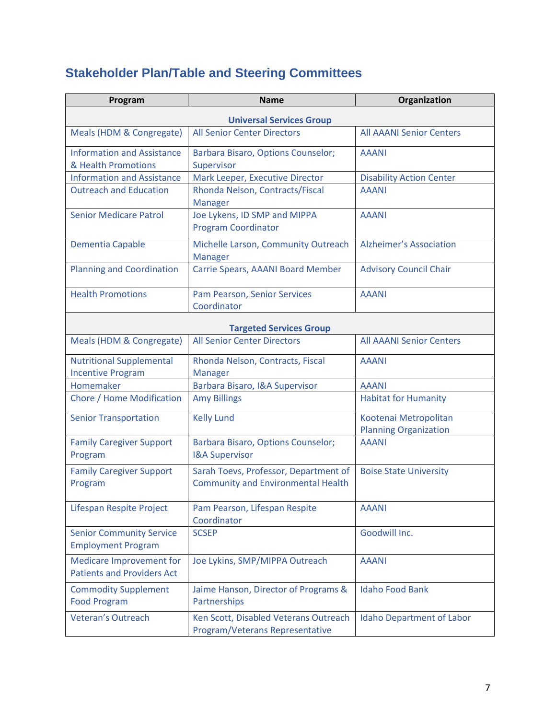# <span id="page-6-0"></span>**Stakeholder Plan/Table and Steering Committees**

| Program                                                              | <b>Name</b>                                                                        | Organization                                          |
|----------------------------------------------------------------------|------------------------------------------------------------------------------------|-------------------------------------------------------|
| <b>Universal Services Group</b>                                      |                                                                                    |                                                       |
| Meals (HDM & Congregate)                                             | <b>All Senior Center Directors</b>                                                 | <b>All AAANI Senior Centers</b>                       |
| <b>Information and Assistance</b><br>& Health Promotions             | Barbara Bisaro, Options Counselor;<br>Supervisor                                   | <b>AAANI</b>                                          |
| <b>Information and Assistance</b>                                    | Mark Leeper, Executive Director                                                    | <b>Disability Action Center</b>                       |
| <b>Outreach and Education</b>                                        | Rhonda Nelson, Contracts/Fiscal<br><b>Manager</b>                                  | <b>AAANI</b>                                          |
| <b>Senior Medicare Patrol</b>                                        | Joe Lykens, ID SMP and MIPPA<br><b>Program Coordinator</b>                         | <b>AAANI</b>                                          |
| <b>Dementia Capable</b>                                              | Michelle Larson, Community Outreach<br><b>Manager</b>                              | <b>Alzheimer's Association</b>                        |
| <b>Planning and Coordination</b>                                     | Carrie Spears, AAANI Board Member                                                  | <b>Advisory Council Chair</b>                         |
| <b>Health Promotions</b>                                             | Pam Pearson, Senior Services<br>Coordinator                                        | <b>AAANI</b>                                          |
|                                                                      | <b>Targeted Services Group</b>                                                     |                                                       |
| Meals (HDM & Congregate)                                             | <b>All Senior Center Directors</b>                                                 | <b>All AAANI Senior Centers</b>                       |
| <b>Nutritional Supplemental</b><br><b>Incentive Program</b>          | Rhonda Nelson, Contracts, Fiscal<br>Manager                                        | <b>AAANI</b>                                          |
| Homemaker                                                            | Barbara Bisaro, I&A Supervisor                                                     | <b>AAANI</b>                                          |
| Chore / Home Modification                                            | <b>Amy Billings</b>                                                                | <b>Habitat for Humanity</b>                           |
| <b>Senior Transportation</b>                                         | <b>Kelly Lund</b>                                                                  | Kootenai Metropolitan<br><b>Planning Organization</b> |
| <b>Family Caregiver Support</b><br>Program                           | Barbara Bisaro, Options Counselor;<br><b>I&amp;A Supervisor</b>                    | <b>AAANI</b>                                          |
| <b>Family Caregiver Support</b><br>Program                           | Sarah Toevs, Professor, Department of<br><b>Community and Environmental Health</b> | <b>Boise State University</b>                         |
| Lifespan Respite Project                                             | Pam Pearson, Lifespan Respite<br>Coordinator                                       | <b>AAANI</b>                                          |
| <b>Senior Community Service</b><br><b>Employment Program</b>         | <b>SCSEP</b>                                                                       | Goodwill Inc.                                         |
| <b>Medicare Improvement for</b><br><b>Patients and Providers Act</b> | Joe Lykins, SMP/MIPPA Outreach                                                     | <b>AAANI</b>                                          |
| <b>Commodity Supplement</b><br><b>Food Program</b>                   | Jaime Hanson, Director of Programs &<br>Partnerships                               | <b>Idaho Food Bank</b>                                |
| <b>Veteran's Outreach</b>                                            | Ken Scott, Disabled Veterans Outreach<br>Program/Veterans Representative           | <b>Idaho Department of Labor</b>                      |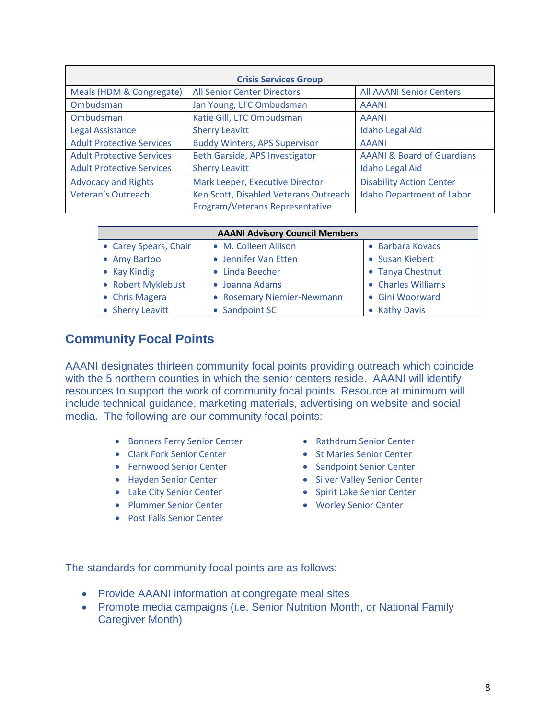| <b>Crisis Services Group</b>     |                                                                          |                                       |
|----------------------------------|--------------------------------------------------------------------------|---------------------------------------|
| Meals (HDM & Congregate)         | <b>All Senior Center Directors</b>                                       | <b>All AAANI Senior Centers</b>       |
| Ombudsman                        | Jan Young, LTC Ombudsman                                                 | <b>AAANI</b>                          |
| Ombudsman                        | Katie Gill, LTC Ombudsman                                                | <b>AAANI</b>                          |
| Legal Assistance                 | <b>Sherry Leavitt</b>                                                    | <b>Idaho Legal Aid</b>                |
| <b>Adult Protective Services</b> | <b>Buddy Winters, APS Supervisor</b>                                     | <b>AAANI</b>                          |
| <b>Adult Protective Services</b> | Beth Garside, APS Investigator                                           | <b>AAANI &amp; Board of Guardians</b> |
| <b>Adult Protective Services</b> | <b>Sherry Leavitt</b>                                                    | <b>Idaho Legal Aid</b>                |
| <b>Advocacy and Rights</b>       | Mark Leeper, Executive Director                                          | <b>Disability Action Center</b>       |
| <b>Veteran's Outreach</b>        | Ken Scott, Disabled Veterans Outreach<br>Program/Veterans Representative | <b>Idaho Department of Labor</b>      |

| <b>AAANI Advisory Council Members</b> |                            |                    |
|---------------------------------------|----------------------------|--------------------|
| • Carey Spears, Chair                 | • M. Colleen Allison       | • Barbara Kovacs   |
| • Amy Bartoo                          | • Jennifer Van Etten       | • Susan Kiebert    |
| • Kay Kindig                          | • Linda Beecher            | • Tanya Chestnut   |
| • Robert Myklebust                    | • Joanna Adams             | • Charles Williams |
| • Chris Magera                        | • Rosemary Niemier-Newmann | • Gini Woorward    |
| • Sherry Leavitt                      | • Sandpoint SC             | • Kathy Davis      |

### <span id="page-7-0"></span>**Community Focal Points**

AAANI designates thirteen community focal points providing outreach which coincide with the 5 northern counties in which the senior centers reside. AAANI will identify resources to support the work of community focal points. Resource at minimum will include technical guidance, marketing materials, advertising on website and social media. The following are our community focal points:

- Bonners Ferry Senior Center
- Clark Fork Senior Center
- Fernwood Senior Center
- Hayden Senior Center
- Lake City Senior Center
- Plummer Senior Center
- Post Falls Senior Center
- Rathdrum Senior Center
- St Maries Senior Center
- Sandpoint Senior Center
- Silver Valley Senior Center
- Spirit Lake Senior Center
- Worley Senior Center

The standards for community focal points are as follows:

- Provide AAANI information at congregate meal sites
- Promote media campaigns (i.e. Senior Nutrition Month, or National Family Caregiver Month)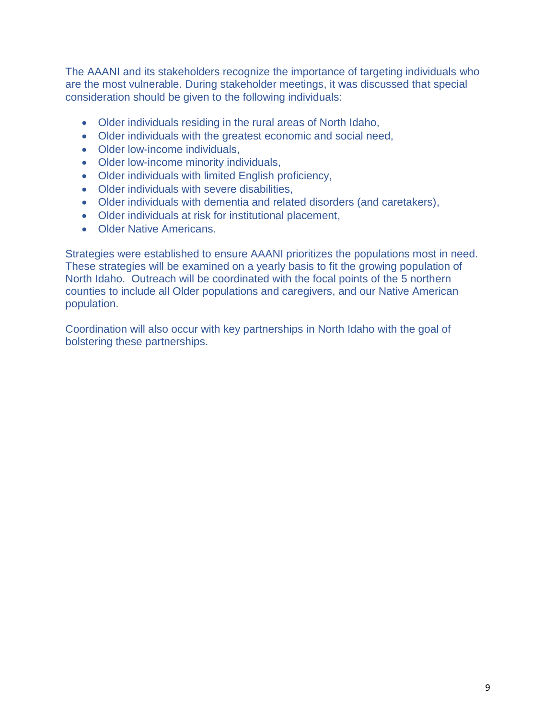The AAANI and its stakeholders recognize the importance of targeting individuals who are the most vulnerable. During stakeholder meetings, it was discussed that special consideration should be given to the following individuals:

- Older individuals residing in the rural areas of North Idaho,
- Older individuals with the greatest economic and social need,
- Older low-income individuals,
- Older low-income minority individuals,
- Older individuals with limited English proficiency,
- Older individuals with severe disabilities,
- Older individuals with dementia and related disorders (and caretakers),
- Older individuals at risk for institutional placement,
- Older Native Americans.

Strategies were established to ensure AAANI prioritizes the populations most in need. These strategies will be examined on a yearly basis to fit the growing population of North Idaho. Outreach will be coordinated with the focal points of the 5 northern counties to include all Older populations and caregivers, and our Native American population.

Coordination will also occur with key partnerships in North Idaho with the goal of bolstering these partnerships.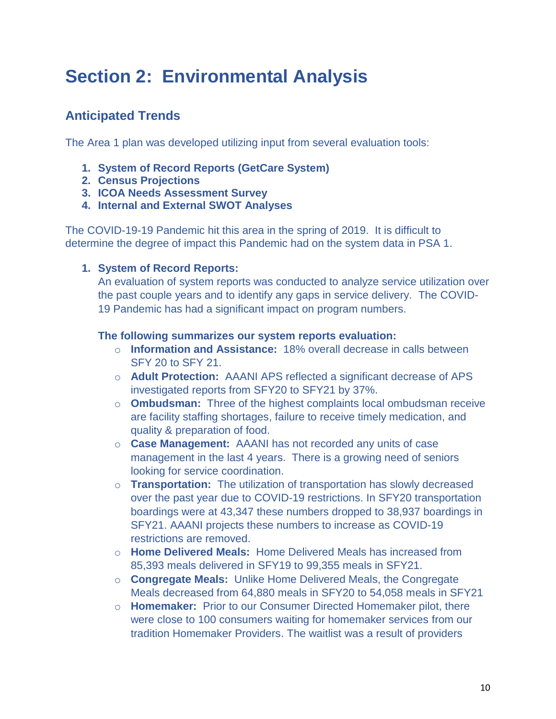# <span id="page-9-0"></span>**Section 2: Environmental Analysis**

# <span id="page-9-1"></span>**Anticipated Trends**

The Area 1 plan was developed utilizing input from several evaluation tools:

- **1. System of Record Reports (GetCare System)**
- **2. Census Projections**
- **3. ICOA Needs Assessment Survey**
- **4. Internal and External SWOT Analyses**

The COVID-19-19 Pandemic hit this area in the spring of 2019. It is difficult to determine the degree of impact this Pandemic had on the system data in PSA 1.

**1. System of Record Reports:**

An evaluation of system reports was conducted to analyze service utilization over the past couple years and to identify any gaps in service delivery. The COVID-19 Pandemic has had a significant impact on program numbers.

#### **The following summarizes our system reports evaluation:**

- o **Information and Assistance:** 18% overall decrease in calls between SFY 20 to SFY 21.
- o **Adult Protection:** AAANI APS reflected a significant decrease of APS investigated reports from SFY20 to SFY21 by 37%.
- o **Ombudsman:** Three of the highest complaints local ombudsman receive are facility staffing shortages, failure to receive timely medication, and quality & preparation of food.
- o **Case Management:** AAANI has not recorded any units of case management in the last 4 years. There is a growing need of seniors looking for service coordination.
- o **Transportation:** The utilization of transportation has slowly decreased over the past year due to COVID-19 restrictions. In SFY20 transportation boardings were at 43,347 these numbers dropped to 38,937 boardings in SFY21. AAANI projects these numbers to increase as COVID-19 restrictions are removed.
- o **Home Delivered Meals:** Home Delivered Meals has increased from 85,393 meals delivered in SFY19 to 99,355 meals in SFY21.
- o **Congregate Meals:** Unlike Home Delivered Meals, the Congregate Meals decreased from 64,880 meals in SFY20 to 54,058 meals in SFY21
- o **Homemaker:** Prior to our Consumer Directed Homemaker pilot, there were close to 100 consumers waiting for homemaker services from our tradition Homemaker Providers. The waitlist was a result of providers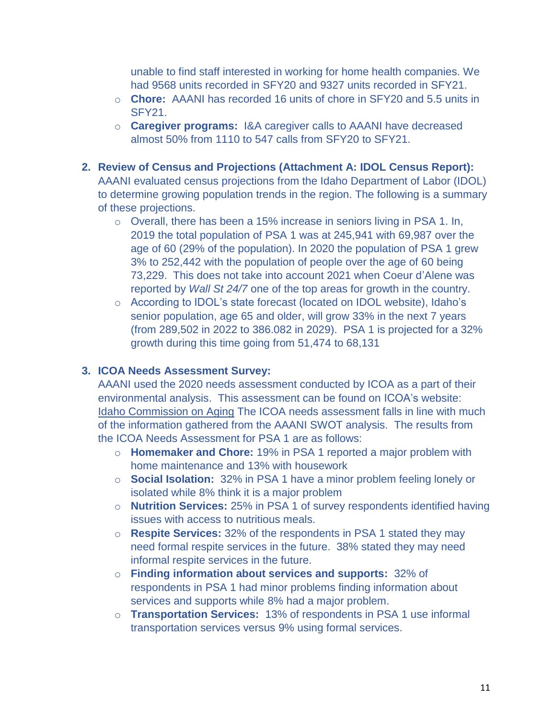unable to find staff interested in working for home health companies. We had 9568 units recorded in SFY20 and 9327 units recorded in SFY21.

- o **Chore:** AAANI has recorded 16 units of chore in SFY20 and 5.5 units in SFY21.
- o **Caregiver programs:** I&A caregiver calls to AAANI have decreased almost 50% from 1110 to 547 calls from SFY20 to SFY21.
- **2. Review of Census and Projections (Attachment A: IDOL Census Report):** AAANI evaluated census projections from the Idaho Department of Labor (IDOL) to determine growing population trends in the region. The following is a summary of these projections.
	- o Overall, there has been a 15% increase in seniors living in PSA 1. In, 2019 the total population of PSA 1 was at 245,941 with 69,987 over the age of 60 (29% of the population). In 2020 the population of PSA 1 grew 3% to 252,442 with the population of people over the age of 60 being 73,229. This does not take into account 2021 when Coeur d'Alene was reported by *Wall St 24/7* one of the top areas for growth in the country.
	- o According to IDOL's state forecast (located on IDOL website), Idaho's senior population, age 65 and older, will grow 33% in the next 7 years (from 289,502 in 2022 to 386.082 in 2029). PSA 1 is projected for a 32% growth during this time going from 51,474 to 68,131

#### **3. ICOA Needs Assessment Survey:**

AAANI used the 2020 needs assessment conducted by ICOA as a part of their environmental analysis. This assessment can be found on ICOA's website: [Idaho Commission on Aging](https://aging.idaho.gov/) The ICOA needs assessment falls in line with much of the information gathered from the AAANI SWOT analysis. The results from the ICOA Needs Assessment for PSA 1 are as follows:

- o **Homemaker and Chore:** 19% in PSA 1 reported a major problem with home maintenance and 13% with housework
- o **Social Isolation:** 32% in PSA 1 have a minor problem feeling lonely or isolated while 8% think it is a major problem
- o **Nutrition Services:** 25% in PSA 1 of survey respondents identified having issues with access to nutritious meals.
- o **Respite Services:** 32% of the respondents in PSA 1 stated they may need formal respite services in the future. 38% stated they may need informal respite services in the future.
- o **Finding information about services and supports:** 32% of respondents in PSA 1 had minor problems finding information about services and supports while 8% had a major problem.
- o **Transportation Services:** 13% of respondents in PSA 1 use informal transportation services versus 9% using formal services.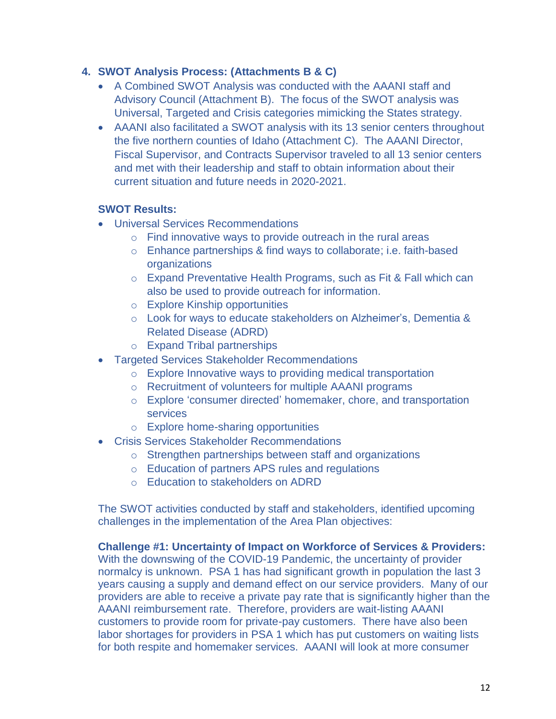#### **4. SWOT Analysis Process: (Attachments B & C)**

- A Combined SWOT Analysis was conducted with the AAANI staff and Advisory Council (Attachment B). The focus of the SWOT analysis was Universal, Targeted and Crisis categories mimicking the States strategy.
- AAANI also facilitated a SWOT analysis with its 13 senior centers throughout the five northern counties of Idaho (Attachment C). The AAANI Director, Fiscal Supervisor, and Contracts Supervisor traveled to all 13 senior centers and met with their leadership and staff to obtain information about their current situation and future needs in 2020-2021.

#### **SWOT Results:**

- Universal Services Recommendations
	- $\circ$  Find innovative ways to provide outreach in the rural areas
	- o Enhance partnerships & find ways to collaborate; i.e. faith-based organizations
	- o Expand Preventative Health Programs, such as Fit & Fall which can also be used to provide outreach for information.
	- o Explore Kinship opportunities
	- o Look for ways to educate stakeholders on Alzheimer's, Dementia & Related Disease (ADRD)
	- o Expand Tribal partnerships
- Targeted Services Stakeholder Recommendations
	- o Explore Innovative ways to providing medical transportation
	- o Recruitment of volunteers for multiple AAANI programs
	- o Explore 'consumer directed' homemaker, chore, and transportation services
	- o Explore home-sharing opportunities
- Crisis Services Stakeholder Recommendations
	- o Strengthen partnerships between staff and organizations
	- o Education of partners APS rules and regulations
	- o Education to stakeholders on ADRD

The SWOT activities conducted by staff and stakeholders, identified upcoming challenges in the implementation of the Area Plan objectives:

**Challenge #1: Uncertainty of Impact on Workforce of Services & Providers:** With the downswing of the COVID-19 Pandemic, the uncertainty of provider normalcy is unknown. PSA 1 has had significant growth in population the last 3 years causing a supply and demand effect on our service providers. Many of our providers are able to receive a private pay rate that is significantly higher than the AAANI reimbursement rate. Therefore, providers are wait-listing AAANI customers to provide room for private-pay customers. There have also been labor shortages for providers in PSA 1 which has put customers on waiting lists for both respite and homemaker services. AAANI will look at more consumer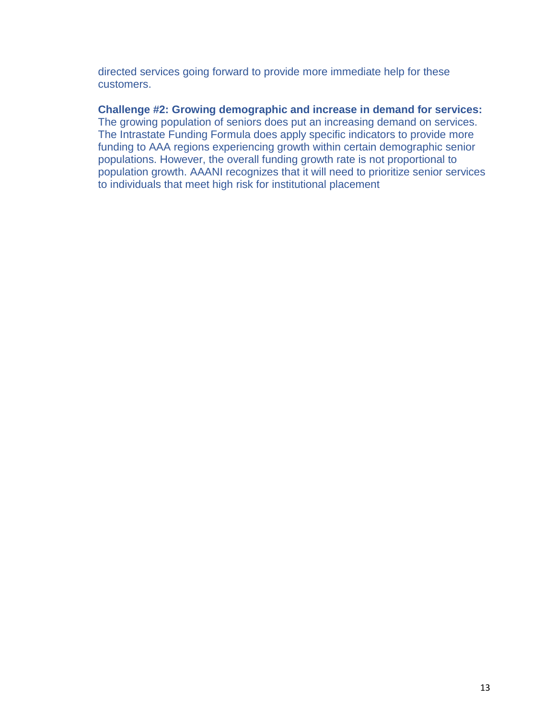directed services going forward to provide more immediate help for these customers.

#### **Challenge #2: Growing demographic and increase in demand for services:**

The growing population of seniors does put an increasing demand on services. The Intrastate Funding Formula does apply specific indicators to provide more funding to AAA regions experiencing growth within certain demographic senior populations. However, the overall funding growth rate is not proportional to population growth. AAANI recognizes that it will need to prioritize senior services to individuals that meet high risk for institutional placement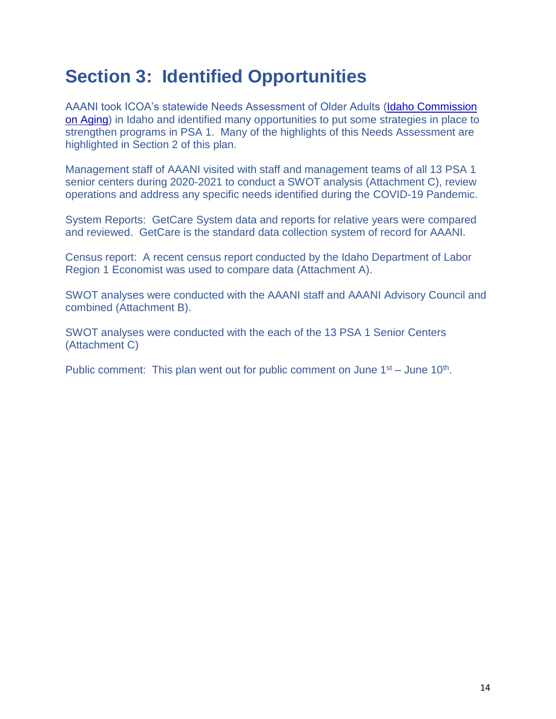# <span id="page-13-0"></span>**Section 3: Identified Opportunities**

AAANI took ICOA's statewide Needs Assessment of Older Adults [\(Idaho Commission](http://www.aging.idaho.gov/)  [on Aging\)](http://www.aging.idaho.gov/) in Idaho and identified many opportunities to put some strategies in place to strengthen programs in PSA 1. Many of the highlights of this Needs Assessment are highlighted in Section 2 of this plan.

Management staff of AAANI visited with staff and management teams of all 13 PSA 1 senior centers during 2020-2021 to conduct a SWOT analysis (Attachment C), review operations and address any specific needs identified during the COVID-19 Pandemic.

System Reports: GetCare System data and reports for relative years were compared and reviewed. GetCare is the standard data collection system of record for AAANI.

Census report: A recent census report conducted by the Idaho Department of Labor Region 1 Economist was used to compare data (Attachment A).

SWOT analyses were conducted with the AAANI staff and AAANI Advisory Council and combined (Attachment B).

SWOT analyses were conducted with the each of the 13 PSA 1 Senior Centers (Attachment C)

Public comment: This plan went out for public comment on June  $1<sup>st</sup> -$  June  $10<sup>th</sup>$ .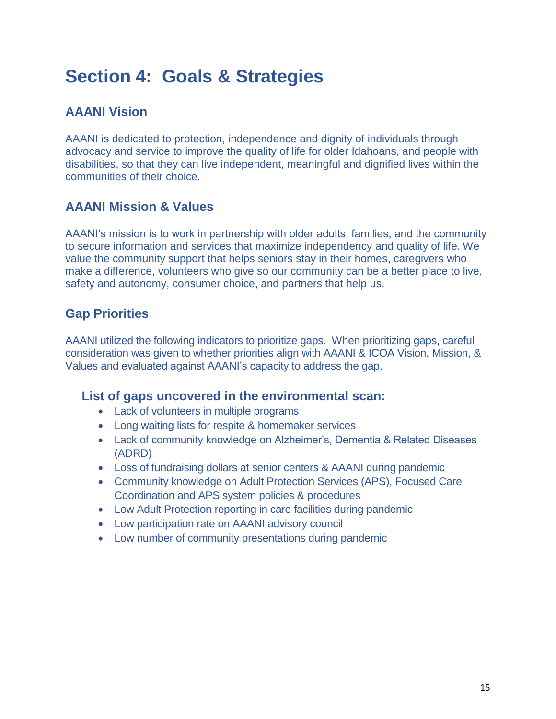# <span id="page-14-0"></span>**Section 4: Goals & Strategies**

## <span id="page-14-1"></span>**AAANI Vision**

AAANI is dedicated to protection, independence and dignity of individuals through advocacy and service to improve the quality of life for older Idahoans, and people with disabilities, so that they can live independent, meaningful and dignified lives within the communities of their choice.

### <span id="page-14-2"></span>**AAANI Mission & Values**

AAANI's mission is to work in partnership with older adults, families, and the community to secure information and services that maximize independency and quality of life. We value the community support that helps seniors stay in their homes, caregivers who make a difference, volunteers who give so our community can be a better place to live, safety and autonomy, consumer choice, and partners that help us.

### <span id="page-14-3"></span>**Gap Priorities**

AAANI utilized the following indicators to prioritize gaps. When prioritizing gaps, careful consideration was given to whether priorities align with AAANI & ICOA Vision, Mission, & Values and evaluated against AAANI's capacity to address the gap.

### **List of gaps uncovered in the environmental scan:**

- Lack of volunteers in multiple programs
- Long waiting lists for respite & homemaker services
- Lack of community knowledge on Alzheimer's, Dementia & Related Diseases (ADRD)
- Loss of fundraising dollars at senior centers & AAANI during pandemic
- Community knowledge on Adult Protection Services (APS), Focused Care Coordination and APS system policies & procedures
- Low Adult Protection reporting in care facilities during pandemic
- Low participation rate on AAANI advisory council
- Low number of community presentations during pandemic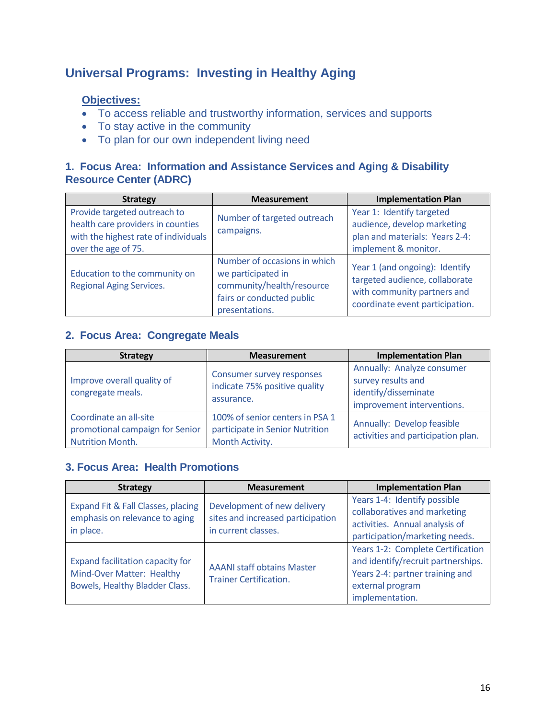### <span id="page-15-0"></span>**Universal Programs: Investing in Healthy Aging**

#### **Objectives:**

- To access reliable and trustworthy information, services and supports
- To stay active in the community
- To plan for our own independent living need

#### **1. Focus Area: Information and Assistance Services and Aging & Disability Resource Center (ADRC)**

| <b>Strategy</b>                                                                                                                  | <b>Measurement</b>                                                                                                             | <b>Implementation Plan</b>                                                                                                         |
|----------------------------------------------------------------------------------------------------------------------------------|--------------------------------------------------------------------------------------------------------------------------------|------------------------------------------------------------------------------------------------------------------------------------|
| Provide targeted outreach to<br>health care providers in counties<br>with the highest rate of individuals<br>over the age of 75. | Number of targeted outreach<br>campaigns.                                                                                      | Year 1: Identify targeted<br>audience, develop marketing<br>plan and materials: Years 2-4:<br>implement & monitor.                 |
| Education to the community on<br><b>Regional Aging Services.</b>                                                                 | Number of occasions in which<br>we participated in<br>community/health/resource<br>fairs or conducted public<br>presentations. | Year 1 (and ongoing): Identify<br>targeted audience, collaborate<br>with community partners and<br>coordinate event participation. |

#### **2. Focus Area: Congregate Meals**

| <b>Strategy</b>                                                               | <b>Measurement</b>                                                                    | <b>Implementation Plan</b>                                                                             |
|-------------------------------------------------------------------------------|---------------------------------------------------------------------------------------|--------------------------------------------------------------------------------------------------------|
| Improve overall quality of<br>congregate meals.                               | <b>Consumer survey responses</b><br>indicate 75% positive quality<br>assurance.       | Annually: Analyze consumer<br>survey results and<br>identify/disseminate<br>improvement interventions. |
| Coordinate an all-site<br>promotional campaign for Senior<br>Nutrition Month. | 100% of senior centers in PSA 1<br>participate in Senior Nutrition<br>Month Activity. | Annually: Develop feasible<br>activities and participation plan.                                       |

#### **3. Focus Area: Health Promotions**

| <b>Strategy</b>                                                                                 | <b>Measurement</b>                                                                      | <b>Implementation Plan</b>                                                                                                                        |
|-------------------------------------------------------------------------------------------------|-----------------------------------------------------------------------------------------|---------------------------------------------------------------------------------------------------------------------------------------------------|
| Expand Fit & Fall Classes, placing<br>emphasis on relevance to aging<br>in place.               | Development of new delivery<br>sites and increased participation<br>in current classes. | Years 1-4: Identify possible<br>collaboratives and marketing<br>activities. Annual analysis of<br>participation/marketing needs.                  |
| Expand facilitation capacity for<br>Mind-Over Matter: Healthy<br>Bowels, Healthy Bladder Class. | <b>AAANI staff obtains Master</b><br><b>Trainer Certification.</b>                      | Years 1-2: Complete Certification<br>and identify/recruit partnerships.<br>Years 2-4: partner training and<br>external program<br>implementation. |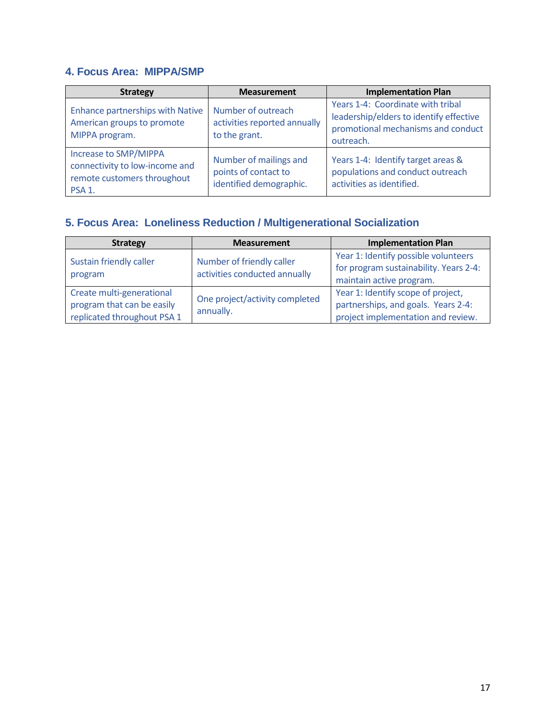#### **4. Focus Area: MIPPA/SMP**

| <b>Strategy</b>                                                                                              | <b>Measurement</b>                                                        | <b>Implementation Plan</b>                                                                                                      |
|--------------------------------------------------------------------------------------------------------------|---------------------------------------------------------------------------|---------------------------------------------------------------------------------------------------------------------------------|
| <b>Enhance partnerships with Native</b><br>American groups to promote<br>MIPPA program.                      | Number of outreach<br>activities reported annually<br>to the grant.       | Years 1-4: Coordinate with tribal<br>leadership/elders to identify effective<br>promotional mechanisms and conduct<br>outreach. |
| Increase to SMP/MIPPA<br>connectivity to low-income and<br>remote customers throughout<br>PSA <sub>1</sub> . | Number of mailings and<br>points of contact to<br>identified demographic. | Years 1-4: Identify target areas &<br>populations and conduct outreach<br>activities as identified.                             |

# **5. Focus Area: Loneliness Reduction / Multigenerational Socialization**

| <b>Strategy</b>                                                                        | <b>Measurement</b>                                         | <b>Implementation Plan</b>                                                                                      |
|----------------------------------------------------------------------------------------|------------------------------------------------------------|-----------------------------------------------------------------------------------------------------------------|
| Sustain friendly caller<br>program                                                     | Number of friendly caller<br>activities conducted annually | Year 1: Identify possible volunteers<br>for program sustainability. Years 2-4:<br>maintain active program.      |
| Create multi-generational<br>program that can be easily<br>replicated throughout PSA 1 | One project/activity completed<br>annually.                | Year 1: Identify scope of project,<br>partnerships, and goals. Years 2-4:<br>project implementation and review. |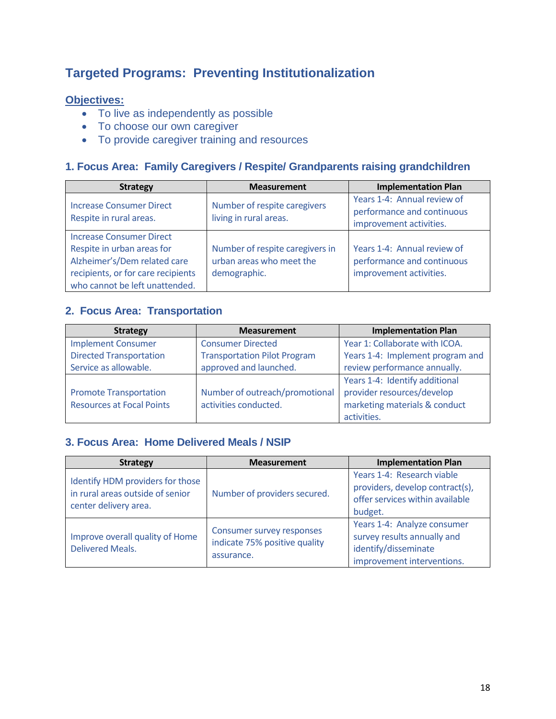### <span id="page-17-0"></span>**Targeted Programs: Preventing Institutionalization**

#### **Objectives:**

- To live as independently as possible
- To choose our own caregiver
- To provide caregiver training and resources

#### **1. Focus Area: Family Caregivers / Respite/ Grandparents raising grandchildren**

| <b>Strategy</b>                                                                                                                                                       | <b>Measurement</b>                                                          | <b>Implementation Plan</b>                                                           |
|-----------------------------------------------------------------------------------------------------------------------------------------------------------------------|-----------------------------------------------------------------------------|--------------------------------------------------------------------------------------|
| <b>Increase Consumer Direct</b><br>Respite in rural areas.                                                                                                            | Number of respite caregivers<br>living in rural areas.                      | Years 1-4: Annual review of<br>performance and continuous<br>improvement activities. |
| <b>Increase Consumer Direct</b><br>Respite in urban areas for<br>Alzheimer's/Dem related care<br>recipients, or for care recipients<br>who cannot be left unattended. | Number of respite caregivers in<br>urban areas who meet the<br>demographic. | Years 1-4: Annual review of<br>performance and continuous<br>improvement activities. |

#### **2. Focus Area: Transportation**

| <b>Strategy</b>                  | <b>Measurement</b>                  | <b>Implementation Plan</b>       |  |
|----------------------------------|-------------------------------------|----------------------------------|--|
| <b>Implement Consumer</b>        | <b>Consumer Directed</b>            | Year 1: Collaborate with ICOA.   |  |
| <b>Directed Transportation</b>   | <b>Transportation Pilot Program</b> | Years 1-4: Implement program and |  |
| Service as allowable.            | approved and launched.              | review performance annually.     |  |
|                                  |                                     | Years 1-4: Identify additional   |  |
| <b>Promote Transportation</b>    | Number of outreach/promotional      | provider resources/develop       |  |
| <b>Resources at Focal Points</b> | activities conducted.               | marketing materials & conduct    |  |
|                                  |                                     | activities.                      |  |

#### **3. Focus Area: Home Delivered Meals / NSIP**

| <b>Strategy</b>                                                                               | <b>Measurement</b>                                                              | <b>Implementation Plan</b>                                                                                       |
|-----------------------------------------------------------------------------------------------|---------------------------------------------------------------------------------|------------------------------------------------------------------------------------------------------------------|
| Identify HDM providers for those<br>in rural areas outside of senior<br>center delivery area. | Number of providers secured.                                                    | Years 1-4: Research viable<br>providers, develop contract(s),<br>offer services within available<br>budget.      |
| Improve overall quality of Home<br><b>Delivered Meals.</b>                                    | <b>Consumer survey responses</b><br>indicate 75% positive quality<br>assurance. | Years 1-4: Analyze consumer<br>survey results annually and<br>identify/disseminate<br>improvement interventions. |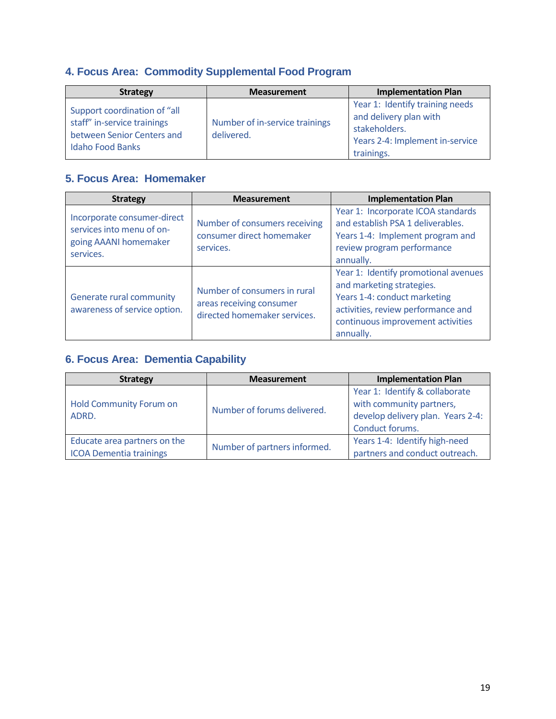### **4. Focus Area: Commodity Supplemental Food Program**

| <b>Strategy</b>                                                                                                      | <b>Measurement</b>                           | <b>Implementation Plan</b>                                                                                                  |
|----------------------------------------------------------------------------------------------------------------------|----------------------------------------------|-----------------------------------------------------------------------------------------------------------------------------|
| Support coordination of "all<br>staff" in-service trainings<br>between Senior Centers and<br><b>Idaho Food Banks</b> | Number of in-service trainings<br>delivered. | Year 1: Identify training needs<br>and delivery plan with<br>stakeholders.<br>Years 2-4: Implement in-service<br>trainings. |

### **5. Focus Area: Homemaker**

| <b>Strategy</b>                                                                                | <b>Measurement</b>                                                                       | <b>Implementation Plan</b>                                                                                                                                                                |  |
|------------------------------------------------------------------------------------------------|------------------------------------------------------------------------------------------|-------------------------------------------------------------------------------------------------------------------------------------------------------------------------------------------|--|
| Incorporate consumer-direct<br>services into menu of on-<br>going AAANI homemaker<br>services. | Number of consumers receiving<br>consumer direct homemaker<br>services.                  | Year 1: Incorporate ICOA standards<br>and establish PSA 1 deliverables.<br>Years 1-4: Implement program and<br>review program performance<br>annually.                                    |  |
| Generate rural community<br>awareness of service option.                                       | Number of consumers in rural<br>areas receiving consumer<br>directed homemaker services. | Year 1: Identify promotional avenues<br>and marketing strategies.<br>Years 1-4: conduct marketing<br>activities, review performance and<br>continuous improvement activities<br>annually. |  |

### **6. Focus Area: Dementia Capability**

| <b>Strategy</b>                                                | <b>Measurement</b>           | <b>Implementation Plan</b>                                      |  |
|----------------------------------------------------------------|------------------------------|-----------------------------------------------------------------|--|
| <b>Hold Community Forum on</b>                                 | Number of forums delivered.  | Year 1: Identify & collaborate<br>with community partners,      |  |
| ADRD.                                                          |                              | develop delivery plan. Years 2-4:<br>Conduct forums.            |  |
| Educate area partners on the<br><b>ICOA Dementia trainings</b> | Number of partners informed. | Years 1-4: Identify high-need<br>partners and conduct outreach. |  |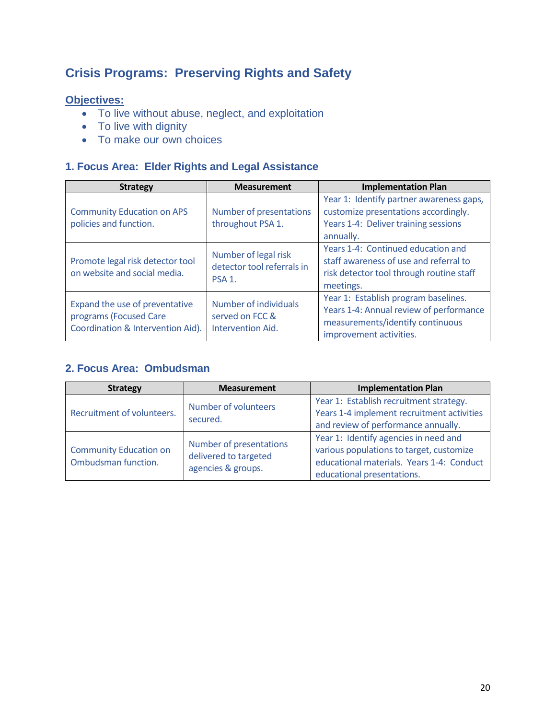# <span id="page-19-0"></span>**Crisis Programs: Preserving Rights and Safety**

#### **Objectives:**

- To live without abuse, neglect, and exploitation
- To live with dignity
- To make our own choices

#### **1. Focus Area: Elder Rights and Legal Assistance**

| <b>Strategy</b>                                                                               | <b>Measurement</b>                                                       | <b>Implementation Plan</b>                                                                                                                     |
|-----------------------------------------------------------------------------------------------|--------------------------------------------------------------------------|------------------------------------------------------------------------------------------------------------------------------------------------|
| <b>Community Education on APS</b><br>policies and function.                                   | Number of presentations<br>throughout PSA 1.                             | Year 1: Identify partner awareness gaps,<br>customize presentations accordingly.<br>Years 1-4: Deliver training sessions<br>annually.          |
| Promote legal risk detector tool<br>on website and social media.                              | Number of legal risk<br>detector tool referrals in<br>PSA <sub>1</sub> . | Years 1-4: Continued education and<br>staff awareness of use and referral to<br>risk detector tool through routine staff<br>meetings.          |
| Expand the use of preventative<br>programs (Focused Care<br>Coordination & Intervention Aid). | Number of individuals<br>served on FCC &<br>Intervention Aid.            | Year 1: Establish program baselines.<br>Years 1-4: Annual review of performance<br>measurements/identify continuous<br>improvement activities. |

#### **2. Focus Area: Ombudsman**

| <b>Strategy</b>                                      | <b>Measurement</b>                                                     | <b>Implementation Plan</b>                                                                                                                                   |
|------------------------------------------------------|------------------------------------------------------------------------|--------------------------------------------------------------------------------------------------------------------------------------------------------------|
| Recruitment of volunteers.                           | Number of volunteers<br>secured.                                       | Year 1: Establish recruitment strategy.<br>Years 1-4 implement recruitment activities<br>and review of performance annually.                                 |
| <b>Community Education on</b><br>Ombudsman function. | Number of presentations<br>delivered to targeted<br>agencies & groups. | Year 1: Identify agencies in need and<br>various populations to target, customize<br>educational materials. Years 1-4: Conduct<br>educational presentations. |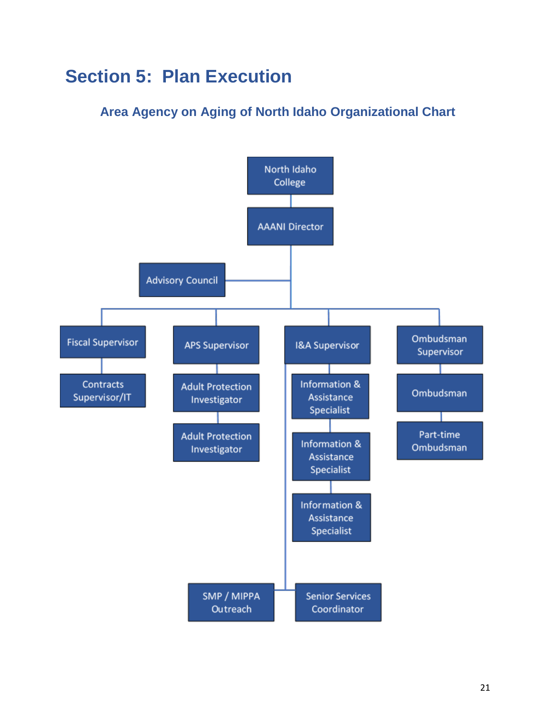# <span id="page-20-0"></span>**Section 5: Plan Execution**

# **Area Agency on Aging of North Idaho Organizational Chart**

<span id="page-20-1"></span>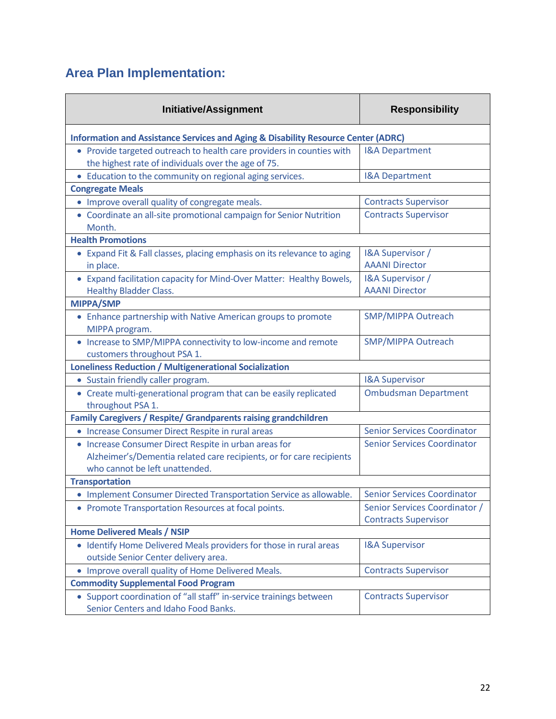# <span id="page-21-0"></span>**Area Plan Implementation:**

| <b>Initiative/Assignment</b>                                                                                                                                    | <b>Responsibility</b>                                        |  |  |
|-----------------------------------------------------------------------------------------------------------------------------------------------------------------|--------------------------------------------------------------|--|--|
| <b>Information and Assistance Services and Aging &amp; Disability Resource Center (ADRC)</b>                                                                    |                                                              |  |  |
| • Provide targeted outreach to health care providers in counties with<br>the highest rate of individuals over the age of 75.                                    | <b>I&amp;A Department</b>                                    |  |  |
| • Education to the community on regional aging services.                                                                                                        | <b>I&amp;A Department</b>                                    |  |  |
| <b>Congregate Meals</b>                                                                                                                                         |                                                              |  |  |
| • Improve overall quality of congregate meals.                                                                                                                  | <b>Contracts Supervisor</b>                                  |  |  |
| • Coordinate an all-site promotional campaign for Senior Nutrition<br>Month.                                                                                    | <b>Contracts Supervisor</b>                                  |  |  |
| <b>Health Promotions</b>                                                                                                                                        |                                                              |  |  |
| • Expand Fit & Fall classes, placing emphasis on its relevance to aging<br>in place.                                                                            | I&A Supervisor /<br><b>AAANI Director</b>                    |  |  |
| • Expand facilitation capacity for Mind-Over Matter: Healthy Bowels,<br><b>Healthy Bladder Class.</b>                                                           | I&A Supervisor /<br><b>AAANI Director</b>                    |  |  |
| MIPPA/SMP                                                                                                                                                       |                                                              |  |  |
| • Enhance partnership with Native American groups to promote<br>MIPPA program.                                                                                  | <b>SMP/MIPPA Outreach</b>                                    |  |  |
| • Increase to SMP/MIPPA connectivity to low-income and remote<br>customers throughout PSA 1.                                                                    | <b>SMP/MIPPA Outreach</b>                                    |  |  |
| <b>Loneliness Reduction / Multigenerational Socialization</b>                                                                                                   |                                                              |  |  |
| • Sustain friendly caller program.                                                                                                                              | <b>I&amp;A Supervisor</b>                                    |  |  |
| • Create multi-generational program that can be easily replicated<br>throughout PSA 1.                                                                          | <b>Ombudsman Department</b>                                  |  |  |
| <b>Family Caregivers / Respite/ Grandparents raising grandchildren</b>                                                                                          |                                                              |  |  |
| • Increase Consumer Direct Respite in rural areas                                                                                                               | <b>Senior Services Coordinator</b>                           |  |  |
| • Increase Consumer Direct Respite in urban areas for<br>Alzheimer's/Dementia related care recipients, or for care recipients<br>who cannot be left unattended. | <b>Senior Services Coordinator</b>                           |  |  |
| <b>Transportation</b>                                                                                                                                           |                                                              |  |  |
| • Implement Consumer Directed Transportation Service as allowable.                                                                                              | <b>Senior Services Coordinator</b>                           |  |  |
| • Promote Transportation Resources at focal points.                                                                                                             | Senior Services Coordinator /<br><b>Contracts Supervisor</b> |  |  |
| <b>Home Delivered Meals / NSIP</b>                                                                                                                              |                                                              |  |  |
| • Identify Home Delivered Meals providers for those in rural areas<br>outside Senior Center delivery area.                                                      | <b>I&amp;A Supervisor</b>                                    |  |  |
| • Improve overall quality of Home Delivered Meals.                                                                                                              | <b>Contracts Supervisor</b>                                  |  |  |
| <b>Commodity Supplemental Food Program</b>                                                                                                                      |                                                              |  |  |
| • Support coordination of "all staff" in-service trainings between<br>Senior Centers and Idaho Food Banks.                                                      | <b>Contracts Supervisor</b>                                  |  |  |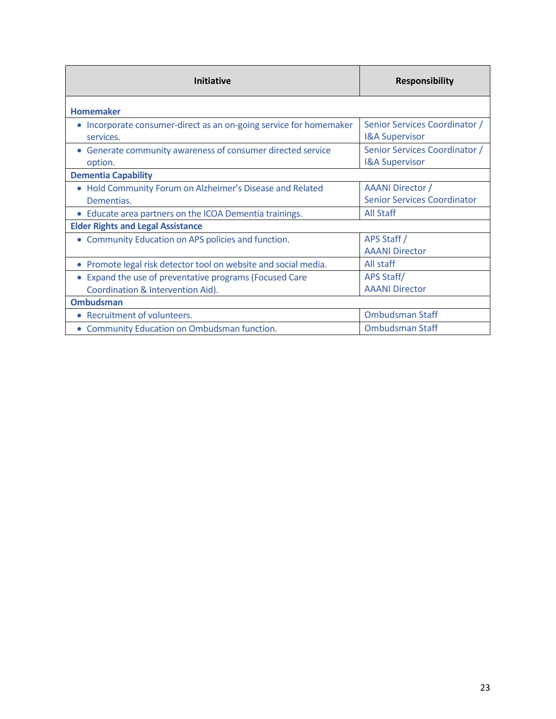| Initiative                                                                    | <b>Responsibility</b>                                      |
|-------------------------------------------------------------------------------|------------------------------------------------------------|
| <b>Homemaker</b>                                                              |                                                            |
| Incorporate consumer-direct as an on-going service for homemaker<br>services. | Senior Services Coordinator /<br><b>I&amp;A Supervisor</b> |
| • Generate community awareness of consumer directed service<br>option.        | Senior Services Coordinator /<br><b>I&amp;A Supervisor</b> |
| <b>Dementia Capability</b>                                                    |                                                            |
| • Hold Community Forum on Alzheimer's Disease and Related<br>Dementias.       | AAANI Director /<br><b>Senior Services Coordinator</b>     |
| • Educate area partners on the ICOA Dementia trainings.                       | <b>All Staff</b>                                           |
| <b>Elder Rights and Legal Assistance</b>                                      |                                                            |
| • Community Education on APS policies and function.                           | APS Staff /<br><b>AAANI Director</b>                       |
| • Promote legal risk detector tool on website and social media.               | All staff                                                  |
| Expand the use of preventative programs (Focused Care                         | APS Staff/                                                 |
| Coordination & Intervention Aid).                                             | <b>AAANI Director</b>                                      |
| <b>Ombudsman</b>                                                              |                                                            |
| • Recruitment of volunteers.                                                  | <b>Ombudsman Staff</b>                                     |
| Community Education on Ombudsman function.<br>$\bullet$                       | <b>Ombudsman Staff</b>                                     |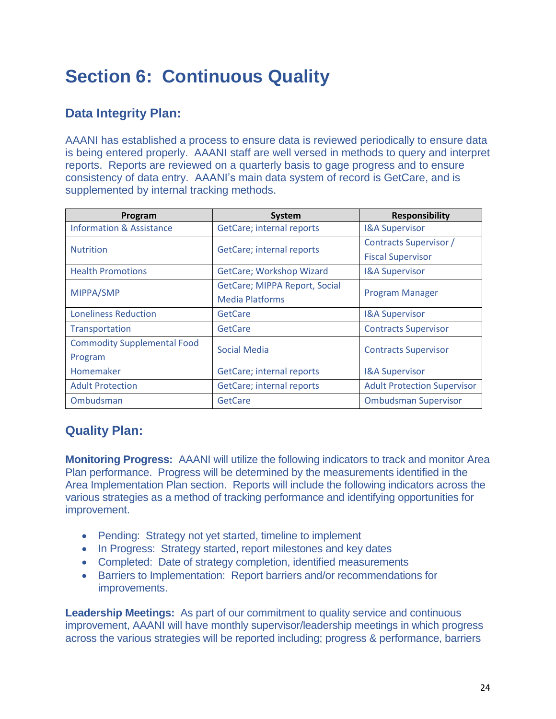# <span id="page-23-0"></span>**Section 6: Continuous Quality**

### <span id="page-23-1"></span>**Data Integrity Plan:**

AAANI has established a process to ensure data is reviewed periodically to ensure data is being entered properly. AAANI staff are well versed in methods to query and interpret reports. Reports are reviewed on a quarterly basis to gage progress and to ensure consistency of data entry. AAANI's main data system of record is GetCare, and is supplemented by internal tracking methods.

| Program                             | System                        | <b>Responsibility</b>              |  |
|-------------------------------------|-------------------------------|------------------------------------|--|
| <b>Information &amp; Assistance</b> | GetCare; internal reports     | <b>I&amp;A Supervisor</b>          |  |
| <b>Nutrition</b>                    | GetCare; internal reports     | Contracts Supervisor /             |  |
|                                     |                               | <b>Fiscal Supervisor</b>           |  |
| <b>Health Promotions</b>            | GetCare; Workshop Wizard      | <b>I&amp;A Supervisor</b>          |  |
| MIPPA/SMP                           | GetCare; MIPPA Report, Social | <b>Program Manager</b>             |  |
|                                     | <b>Media Platforms</b>        |                                    |  |
| <b>Loneliness Reduction</b>         | GetCare                       | <b>I&amp;A Supervisor</b>          |  |
| Transportation                      | GetCare                       | <b>Contracts Supervisor</b>        |  |
| <b>Commodity Supplemental Food</b>  | <b>Social Media</b>           | <b>Contracts Supervisor</b>        |  |
| Program                             |                               |                                    |  |
| Homemaker                           | GetCare; internal reports     | <b>I&amp;A Supervisor</b>          |  |
| <b>Adult Protection</b>             | GetCare; internal reports     | <b>Adult Protection Supervisor</b> |  |
| Ombudsman                           | GetCare                       | <b>Ombudsman Supervisor</b>        |  |

### <span id="page-23-2"></span>**Quality Plan:**

**Monitoring Progress:** AAANI will utilize the following indicators to track and monitor Area Plan performance. Progress will be determined by the measurements identified in the Area Implementation Plan section. Reports will include the following indicators across the various strategies as a method of tracking performance and identifying opportunities for improvement.

- Pending: Strategy not yet started, timeline to implement
- In Progress: Strategy started, report milestones and key dates
- Completed: Date of strategy completion, identified measurements
- Barriers to Implementation: Report barriers and/or recommendations for improvements.

**Leadership Meetings:** As part of our commitment to quality service and continuous improvement, AAANI will have monthly supervisor/leadership meetings in which progress across the various strategies will be reported including; progress & performance, barriers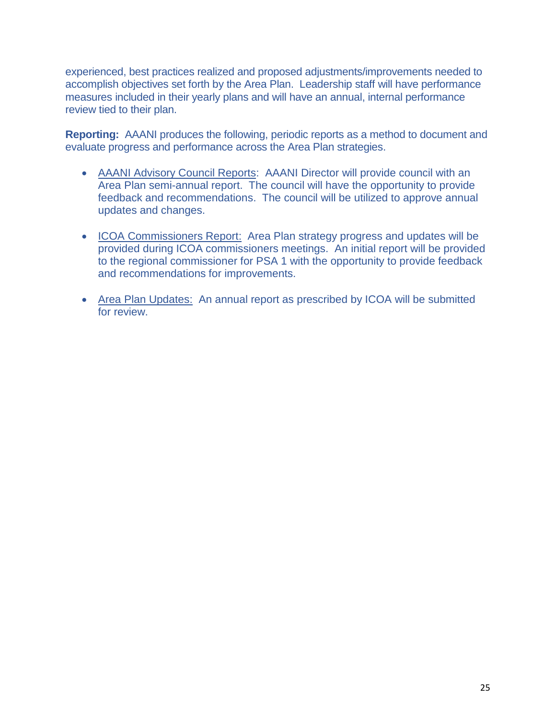experienced, best practices realized and proposed adjustments/improvements needed to accomplish objectives set forth by the Area Plan. Leadership staff will have performance measures included in their yearly plans and will have an annual, internal performance review tied to their plan.

**Reporting:** AAANI produces the following, periodic reports as a method to document and evaluate progress and performance across the Area Plan strategies.

- AAANI Advisory Council Reports: AAANI Director will provide council with an Area Plan semi-annual report. The council will have the opportunity to provide feedback and recommendations. The council will be utilized to approve annual updates and changes.
- ICOA Commissioners Report: Area Plan strategy progress and updates will be provided during ICOA commissioners meetings. An initial report will be provided to the regional commissioner for PSA 1 with the opportunity to provide feedback and recommendations for improvements.
- Area Plan Updates: An annual report as prescribed by ICOA will be submitted for review.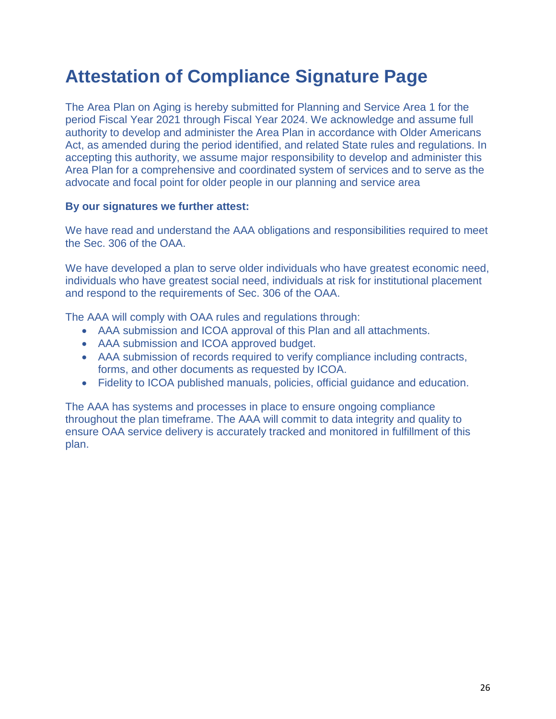# <span id="page-25-0"></span>**Attestation of Compliance Signature Page**

The Area Plan on Aging is hereby submitted for Planning and Service Area 1 for the period Fiscal Year 2021 through Fiscal Year 2024. We acknowledge and assume full authority to develop and administer the Area Plan in accordance with Older Americans Act, as amended during the period identified, and related State rules and regulations. In accepting this authority, we assume major responsibility to develop and administer this Area Plan for a comprehensive and coordinated system of services and to serve as the advocate and focal point for older people in our planning and service area

#### **By our signatures we further attest:**

We have read and understand the AAA obligations and responsibilities required to meet the Sec. 306 of the OAA.

We have developed a plan to serve older individuals who have greatest economic need, individuals who have greatest social need, individuals at risk for institutional placement and respond to the requirements of Sec. 306 of the OAA.

The AAA will comply with OAA rules and regulations through:

- AAA submission and ICOA approval of this Plan and all attachments.
- AAA submission and ICOA approved budget.
- AAA submission of records required to verify compliance including contracts, forms, and other documents as requested by ICOA.
- Fidelity to ICOA published manuals, policies, official guidance and education.

The AAA has systems and processes in place to ensure ongoing compliance throughout the plan timeframe. The AAA will commit to data integrity and quality to ensure OAA service delivery is accurately tracked and monitored in fulfillment of this plan.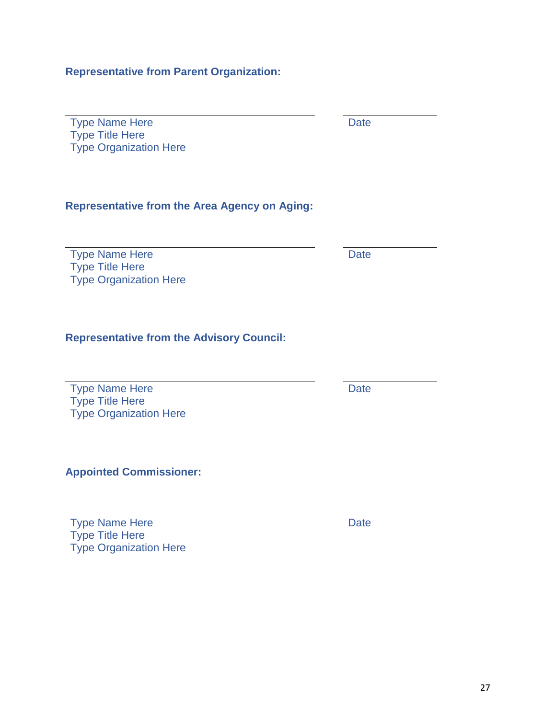**Representative from Parent Organization:**

Type Name Here Date Type Title Here Type Organization Here

### **Representative from the Area Agency on Aging:**

Type Name Here Date Type Title Here Type Organization Here

### **Representative from the Advisory Council:**

| <b>Type Name Here</b>         | Date |
|-------------------------------|------|
| <b>Type Title Here</b>        |      |
| <b>Type Organization Here</b> |      |

**Appointed Commissioner:**

Type Name Here Date Type Title Here Type Organization Here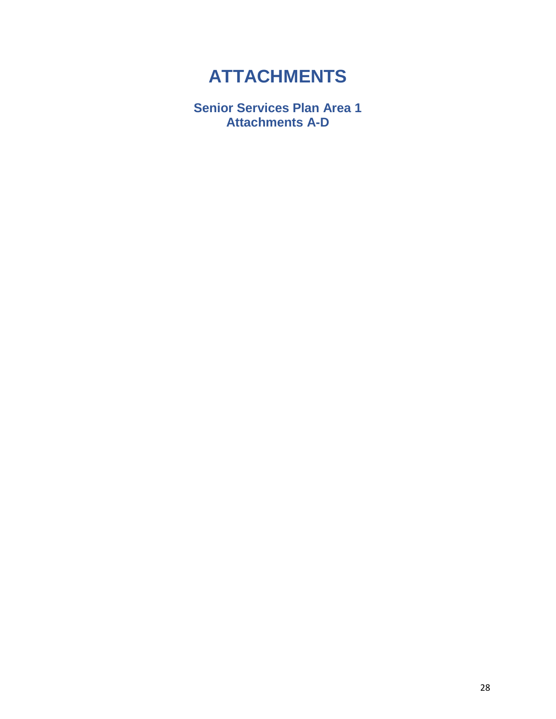# **ATTACHMENTS**

<span id="page-27-0"></span>**Senior Services Plan Area 1 Attachments A-D**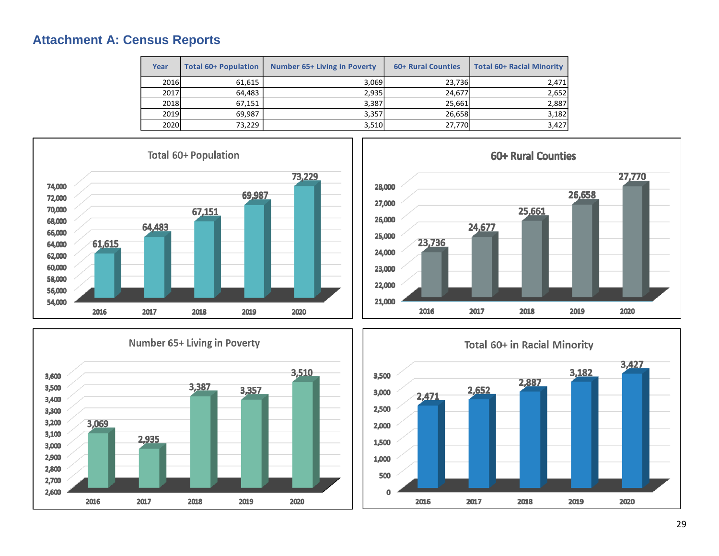### **Attachment A: Census Reports**

| Year | <b>Total 60+ Population</b> | <b>Number 65+ Living in Poverty</b> | 60+ Rural Counties | <b>Total 60+ Racial Minority</b> |
|------|-----------------------------|-------------------------------------|--------------------|----------------------------------|
| 2016 | 61,615                      | 3.069                               | 23,736             | 2,471                            |
| 2017 | 64.483                      | 2.935                               | 24.677             | 2,652                            |
| 2018 | 67,151                      | 3,387                               | 25,661             | 2,887                            |
| 2019 | 69,987                      | 3,357                               | 26,658             | 3,182                            |
| 2020 | 73,229                      | 3,510                               | 27,770             | 3,427                            |

<span id="page-28-0"></span>





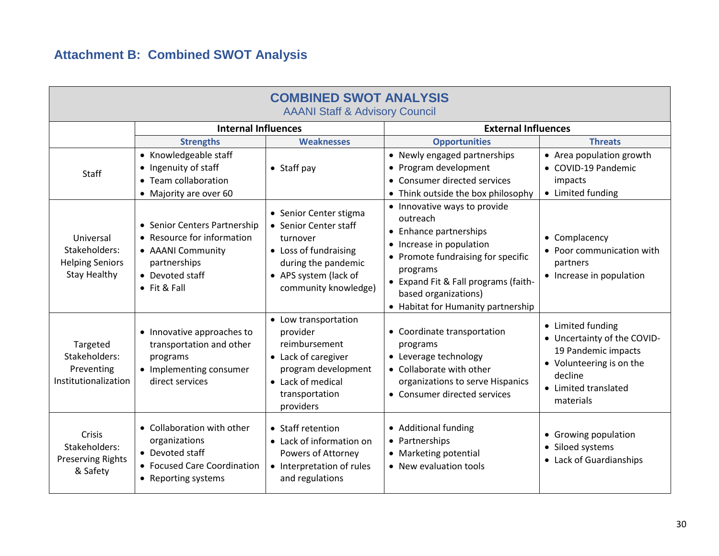# **Attachment B: Combined SWOT Analysis**

<span id="page-29-0"></span>

| <b>COMBINED SWOT ANALYSIS</b><br><b>AAANI Staff &amp; Advisory Council</b>  |                                                                                                                                            |                                                                                                                                                              |                                                                                                                                                                                                                                                        |                                                                                                                                                     |  |  |  |  |
|-----------------------------------------------------------------------------|--------------------------------------------------------------------------------------------------------------------------------------------|--------------------------------------------------------------------------------------------------------------------------------------------------------------|--------------------------------------------------------------------------------------------------------------------------------------------------------------------------------------------------------------------------------------------------------|-----------------------------------------------------------------------------------------------------------------------------------------------------|--|--|--|--|
|                                                                             | <b>Internal Influences</b>                                                                                                                 |                                                                                                                                                              | <b>External Influences</b>                                                                                                                                                                                                                             |                                                                                                                                                     |  |  |  |  |
|                                                                             | <b>Strengths</b>                                                                                                                           | <b>Weaknesses</b>                                                                                                                                            | <b>Opportunities</b>                                                                                                                                                                                                                                   | <b>Threats</b>                                                                                                                                      |  |  |  |  |
| <b>Staff</b>                                                                | • Knowledgeable staff<br>• Ingenuity of staff<br>• Team collaboration<br>• Majority are over 60                                            | • Staff pay                                                                                                                                                  | • Newly engaged partnerships<br>• Program development<br>• Consumer directed services<br>• Think outside the box philosophy                                                                                                                            | • Area population growth<br>• COVID-19 Pandemic<br>impacts<br>• Limited funding                                                                     |  |  |  |  |
| Universal<br>Stakeholders:<br><b>Helping Seniors</b><br><b>Stay Healthy</b> | • Senior Centers Partnership<br>• Resource for information<br>• AAANI Community<br>partnerships<br>• Devoted staff<br>$\bullet$ Fit & Fall | • Senior Center stigma<br>• Senior Center staff<br>turnover<br>• Loss of fundraising<br>during the pandemic<br>• APS system (lack of<br>community knowledge) | • Innovative ways to provide<br>outreach<br>• Enhance partnerships<br>• Increase in population<br>• Promote fundraising for specific<br>programs<br>• Expand Fit & Fall programs (faith-<br>based organizations)<br>• Habitat for Humanity partnership | • Complacency<br>• Poor communication with<br>partners<br>• Increase in population                                                                  |  |  |  |  |
| Targeted<br>Stakeholders:<br>Preventing<br>Institutionalization             | • Innovative approaches to<br>transportation and other<br>programs<br>• Implementing consumer<br>direct services                           | • Low transportation<br>provider<br>reimbursement<br>• Lack of caregiver<br>program development<br>• Lack of medical<br>transportation<br>providers          | • Coordinate transportation<br>programs<br>• Leverage technology<br>• Collaborate with other<br>organizations to serve Hispanics<br>• Consumer directed services                                                                                       | • Limited funding<br>• Uncertainty of the COVID-<br>19 Pandemic impacts<br>• Volunteering is on the<br>decline<br>• Limited translated<br>materials |  |  |  |  |
| Crisis<br>Stakeholders:<br><b>Preserving Rights</b><br>& Safety             | • Collaboration with other<br>organizations<br>• Devoted staff<br>• Focused Care Coordination<br>• Reporting systems                       | • Staff retention<br>• Lack of information on<br>Powers of Attorney<br>• Interpretation of rules<br>and regulations                                          | • Additional funding<br>• Partnerships<br>• Marketing potential<br>• New evaluation tools                                                                                                                                                              | • Growing population<br>• Siloed systems<br>• Lack of Guardianships                                                                                 |  |  |  |  |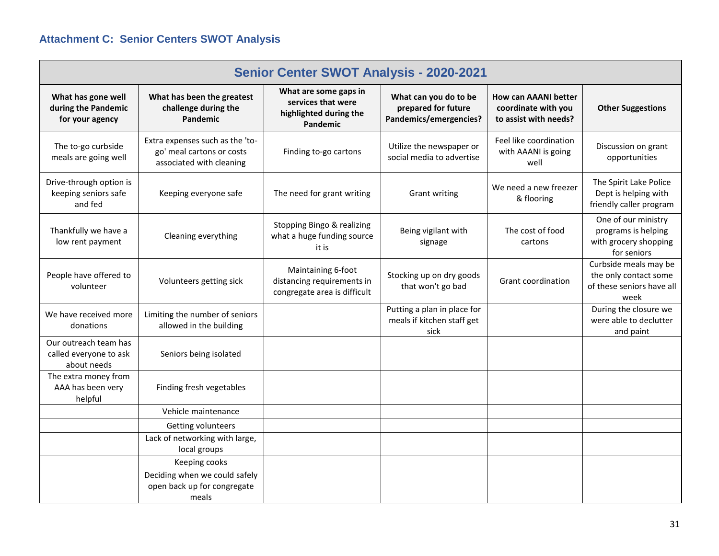# **Attachment C: Senior Centers SWOT Analysis**

| <b>Senior Center SWOT Analysis - 2020-2021</b>                 |                                                                                          |                                                                                   |                                                                        |                                                                             |                                                                                     |  |  |
|----------------------------------------------------------------|------------------------------------------------------------------------------------------|-----------------------------------------------------------------------------------|------------------------------------------------------------------------|-----------------------------------------------------------------------------|-------------------------------------------------------------------------------------|--|--|
| What has gone well<br>during the Pandemic<br>for your agency   | What has been the greatest<br>challenge during the<br><b>Pandemic</b>                    | What are some gaps in<br>services that were<br>highlighted during the<br>Pandemic | What can you do to be<br>prepared for future<br>Pandemics/emergencies? | <b>How can AAANI better</b><br>coordinate with you<br>to assist with needs? | <b>Other Suggestions</b>                                                            |  |  |
| The to-go curbside<br>meals are going well                     | Extra expenses such as the 'to-<br>go' meal cartons or costs<br>associated with cleaning | Finding to-go cartons                                                             | Utilize the newspaper or<br>social media to advertise                  | Feel like coordination<br>with AAANI is going<br>well                       | Discussion on grant<br>opportunities                                                |  |  |
| Drive-through option is<br>keeping seniors safe<br>and fed     | Keeping everyone safe                                                                    | The need for grant writing                                                        | <b>Grant writing</b>                                                   | We need a new freezer<br>& flooring                                         | The Spirit Lake Police<br>Dept is helping with<br>friendly caller program           |  |  |
| Thankfully we have a<br>low rent payment                       | Cleaning everything                                                                      | Stopping Bingo & realizing<br>what a huge funding source<br>it is                 | Being vigilant with<br>signage                                         | The cost of food<br>cartons                                                 | One of our ministry<br>programs is helping<br>with grocery shopping<br>for seniors  |  |  |
| People have offered to<br>volunteer                            | Volunteers getting sick                                                                  | Maintaining 6-foot<br>distancing requirements in<br>congregate area is difficult  | Stocking up on dry goods<br>that won't go bad                          | Grant coordination                                                          | Curbside meals may be<br>the only contact some<br>of these seniors have all<br>week |  |  |
| We have received more<br>donations                             | Limiting the number of seniors<br>allowed in the building                                |                                                                                   | Putting a plan in place for<br>meals if kitchen staff get<br>sick      |                                                                             | During the closure we<br>were able to declutter<br>and paint                        |  |  |
| Our outreach team has<br>called everyone to ask<br>about needs | Seniors being isolated                                                                   |                                                                                   |                                                                        |                                                                             |                                                                                     |  |  |
| The extra money from<br>AAA has been very<br>helpful           | Finding fresh vegetables                                                                 |                                                                                   |                                                                        |                                                                             |                                                                                     |  |  |
|                                                                | Vehicle maintenance                                                                      |                                                                                   |                                                                        |                                                                             |                                                                                     |  |  |
|                                                                | Getting volunteers                                                                       |                                                                                   |                                                                        |                                                                             |                                                                                     |  |  |
|                                                                | Lack of networking with large,<br>local groups                                           |                                                                                   |                                                                        |                                                                             |                                                                                     |  |  |
|                                                                | Keeping cooks                                                                            |                                                                                   |                                                                        |                                                                             |                                                                                     |  |  |
|                                                                | Deciding when we could safely<br>open back up for congregate<br>meals                    |                                                                                   |                                                                        |                                                                             |                                                                                     |  |  |